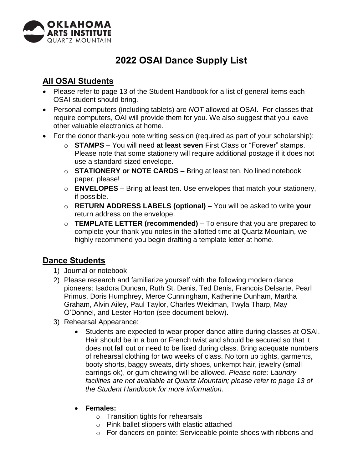

## **2022 OSAI Dance Supply List**

## **All OSAI Students**

- Please refer to page 13 of the Student Handbook for a list of general items each OSAI student should bring.
- Personal computers (including tablets) are *NOT* allowed at OSAI. For classes that require computers, OAI will provide them for you. We also suggest that you leave other valuable electronics at home.
- For the donor thank-you note writing session (required as part of your scholarship):
	- o **STAMPS**  You will need **at least seven** First Class or "Forever" stamps. Please note that some stationery will require additional postage if it does not use a standard-sized envelope.
	- o **STATIONERY or NOTE CARDS**  Bring at least ten. No lined notebook paper, please!
	- o **ENVELOPES**  Bring at least ten. Use envelopes that match your stationery, if possible.
	- o **RETURN ADDRESS LABELS (optional)**  You will be asked to write **your**  return address on the envelope.
	- o **TEMPLATE LETTER (recommended)**  To ensure that you are prepared to complete your thank-you notes in the allotted time at Quartz Mountain, we highly recommend you begin drafting a template letter at home.

## **Dance Students**

- 1) Journal or notebook
- 2) Please research and familiarize yourself with the following modern dance pioneers: Isadora Duncan, Ruth St. Denis, Ted Denis, Francois Delsarte, Pearl Primus, Doris Humphrey, Merce Cunningham, Katherine Dunham, Martha Graham, Alvin Ailey, Paul Taylor, Charles Weidman, Twyla Tharp, May O'Donnel, and Lester Horton (see document below).
- 3) Rehearsal Appearance:
	- Students are expected to wear proper dance attire during classes at OSAI. Hair should be in a bun or French twist and should be secured so that it does not fall out or need to be fixed during class. Bring adequate numbers of rehearsal clothing for two weeks of class. No torn up tights, garments, booty shorts, baggy sweats, dirty shoes, unkempt hair, jewelry (small earrings ok), or gum chewing will be allowed. *Please note: Laundry facilities are not available at Quartz Mountain; please refer to page 13 of the Student Handbook for more information.*
	- **Females:**
		- o Transition tights for rehearsals
		- o Pink ballet slippers with elastic attached
		- o For dancers en pointe: Serviceable pointe shoes with ribbons and